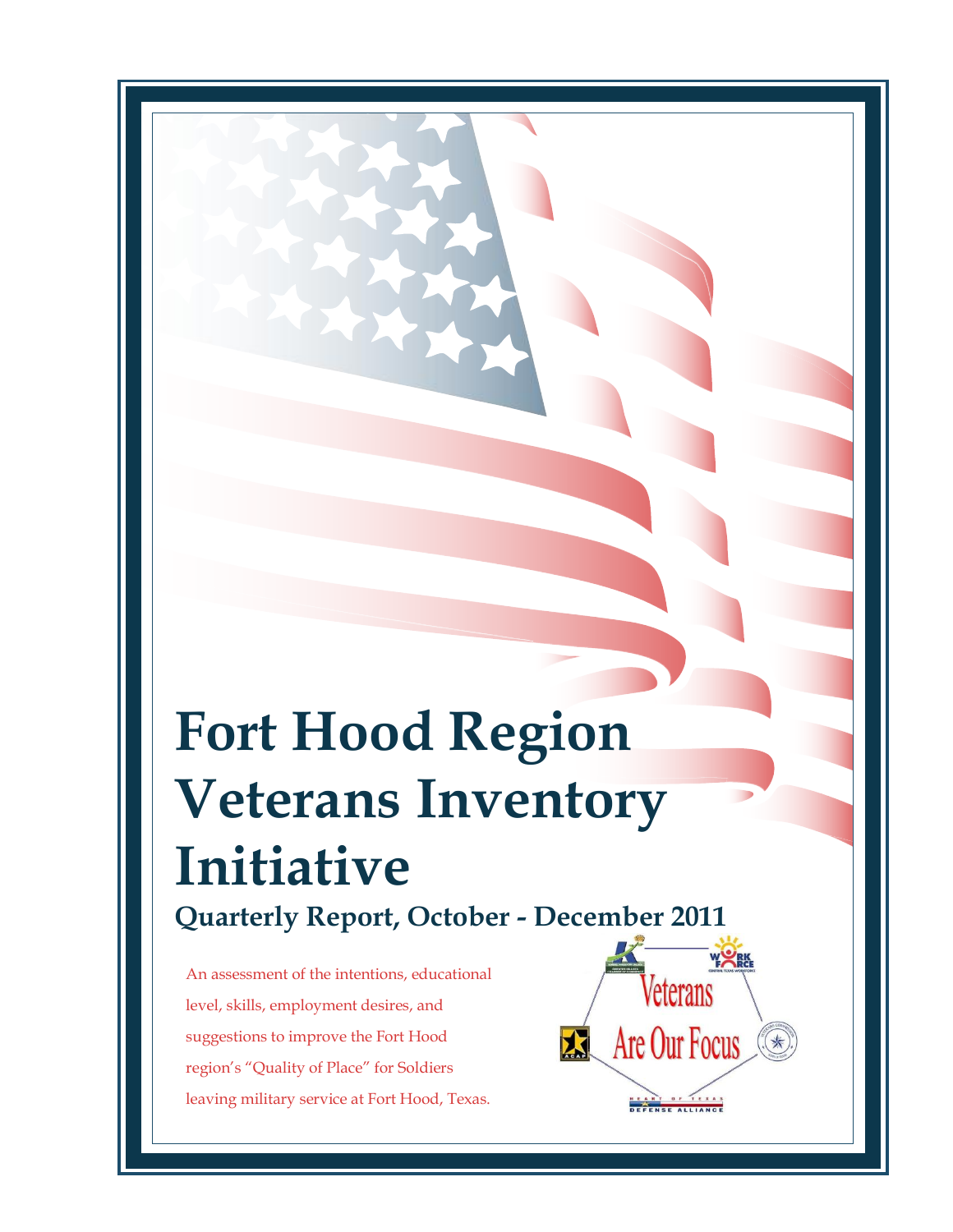# **Fort Hood Region Veterans Inventory Initiative Quarterly Report, October - December 2011**

An assessment of the intentions, educational level, skills, employment desires, and suggestions to improve the Fort Hood region's "Quality of Place" for Soldiers leaving military service at Fort Hood, Texas.

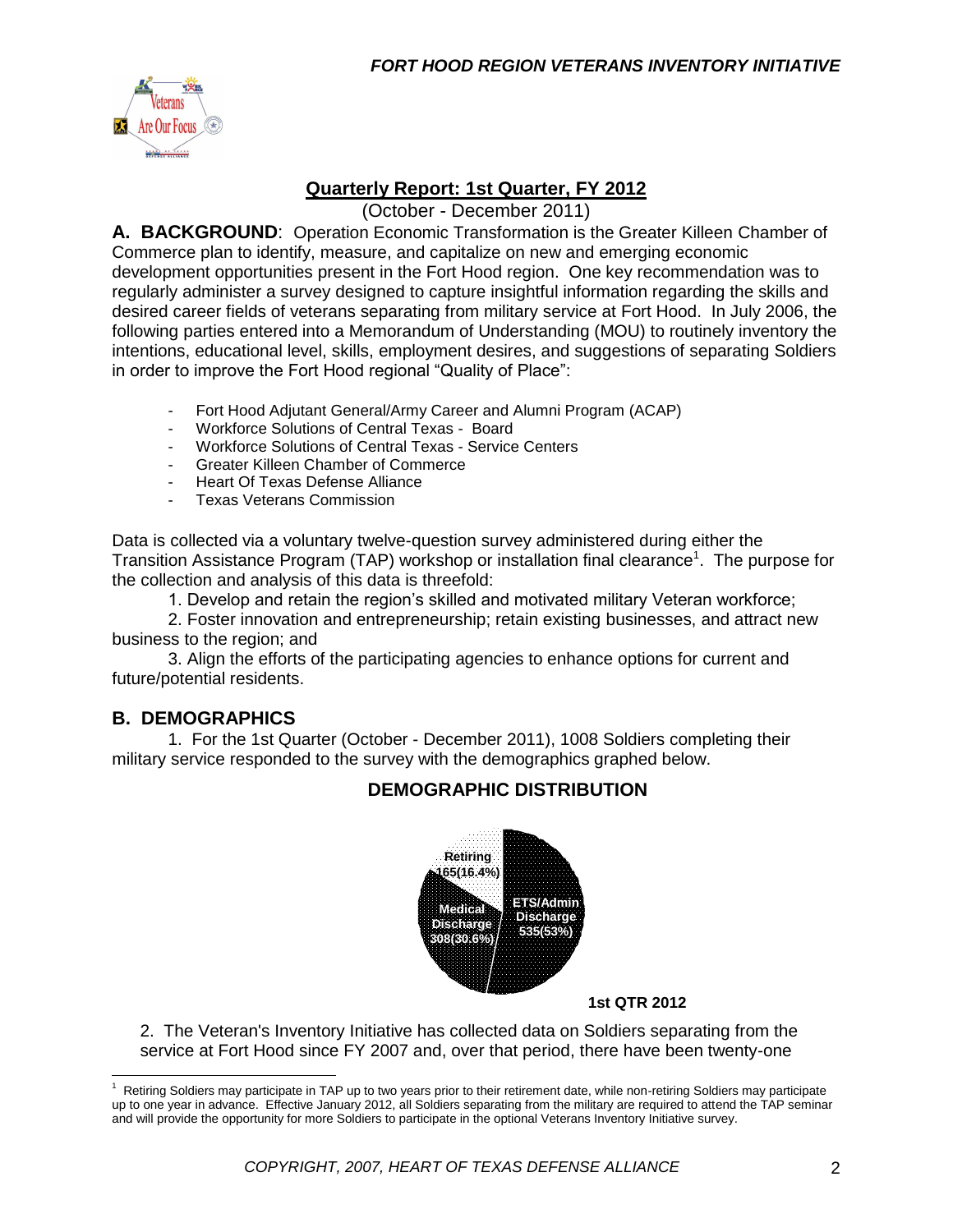

#### **Quarterly Report: 1st Quarter, FY 2012**

(October - December 2011)

**A. BACKGROUND**: Operation Economic Transformation is the Greater Killeen Chamber of Commerce plan to identify, measure, and capitalize on new and emerging economic development opportunities present in the Fort Hood region. One key recommendation was to regularly administer a survey designed to capture insightful information regarding the skills and desired career fields of veterans separating from military service at Fort Hood. In July 2006, the following parties entered into a Memorandum of Understanding (MOU) to routinely inventory the intentions, educational level, skills, employment desires, and suggestions of separating Soldiers in order to improve the Fort Hood regional "Quality of Place":

- Fort Hood Adjutant General/Army Career and Alumni Program (ACAP)
- Workforce Solutions of Central Texas Board
- Workforce Solutions of Central Texas Service Centers
- Greater Killeen Chamber of Commerce
- Heart Of Texas Defense Alliance
- Texas Veterans Commission

Data is collected via a voluntary twelve-question survey administered during either the Transition Assistance Program (TAP) workshop or installation final clearance<sup>1</sup>. The purpose for the collection and analysis of this data is threefold:

1. Develop and retain the region's skilled and motivated military Veteran workforce;

2. Foster innovation and entrepreneurship; retain existing businesses, and attract new business to the region; and

3. Align the efforts of the participating agencies to enhance options for current and future/potential residents.

#### **B. DEMOGRAPHICS**

 $\overline{a}$ 

1. For the 1st Quarter (October - December 2011), 1008 Soldiers completing their military service responded to the survey with the demographics graphed below.

#### **DEMOGRAPHIC DISTRIBUTION**



#### **1st QTR 2012**

2. The Veteran's Inventory Initiative has collected data on Soldiers separating from the service at Fort Hood since FY 2007 and, over that period, there have been twenty-one

<sup>1</sup> Retiring Soldiers may participate in TAP up to two years prior to their retirement date, while non-retiring Soldiers may participate up to one year in advance. Effective January 2012, all Soldiers separating from the military are required to attend the TAP seminar and will provide the opportunity for more Soldiers to participate in the optional Veterans Inventory Initiative survey.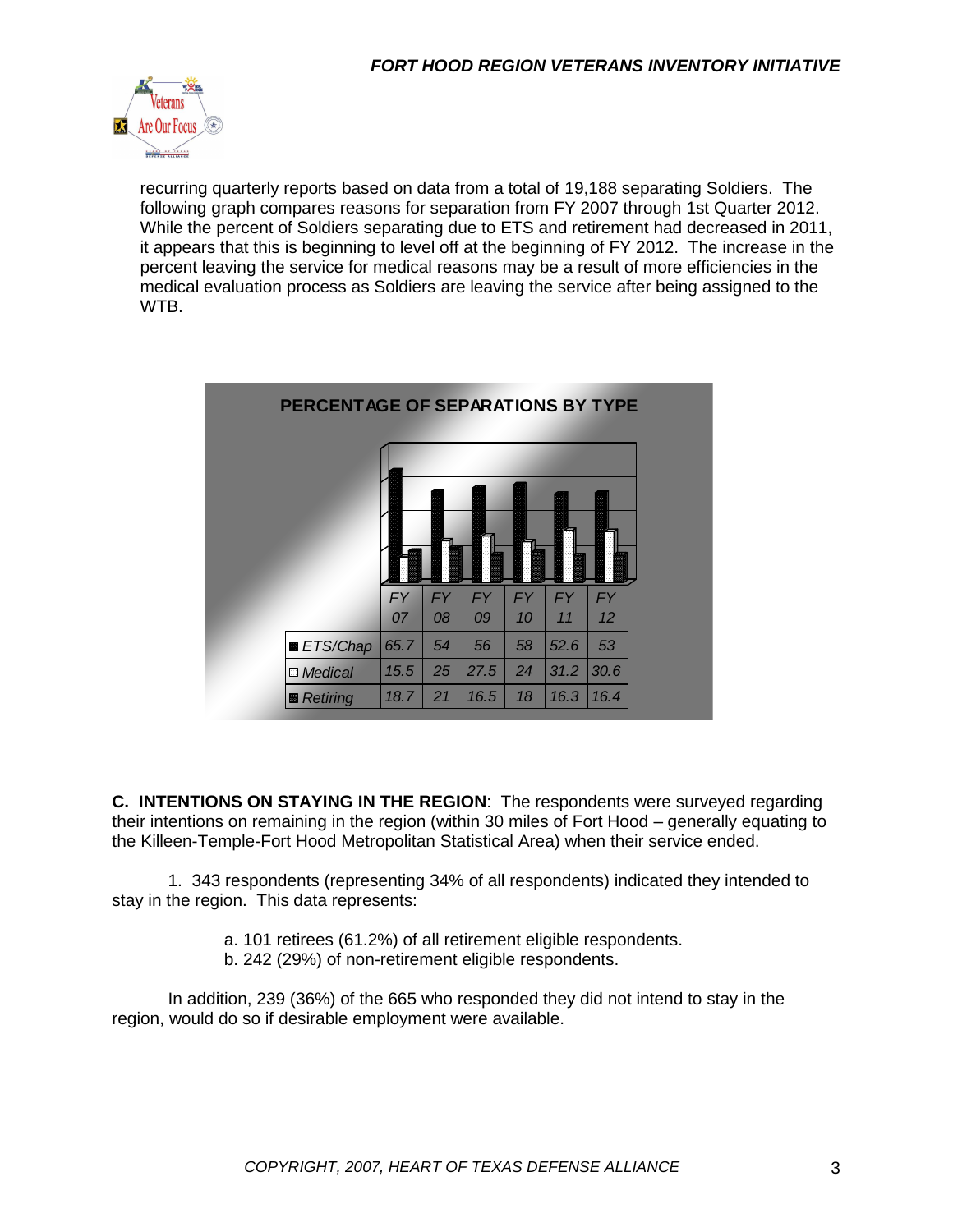

recurring quarterly reports based on data from a total of 19,188 separating Soldiers. The following graph compares reasons for separation from FY 2007 through 1st Quarter 2012. While the percent of Soldiers separating due to ETS and retirement had decreased in 2011, it appears that this is beginning to level off at the beginning of FY 2012. The increase in the percent leaving the service for medical reasons may be a result of more efficiencies in the medical evaluation process as Soldiers are leaving the service after being assigned to the WTB.

| PERCENTAGE OF SEPARATIONS BY TYPE |                 |                 |                 |                 |                 |                 |
|-----------------------------------|-----------------|-----------------|-----------------|-----------------|-----------------|-----------------|
|                                   |                 |                 |                 |                 |                 |                 |
|                                   | <b>FY</b><br>07 | <b>FY</b><br>08 | <b>FY</b><br>09 | <b>FY</b><br>10 | <b>FY</b><br>11 | <b>FY</b><br>12 |
| <b>■ ETS/Chap</b>                 | 65.7            | 54              | 56              | 58              | 52.6            | 53              |
| <b>D</b> Medical                  | 15.5            | 25              | 27.5            | 24              | 31.2            | 30.6            |
| ■ Retiring                        | 18.7            | 21              | 16.5            | 18              | 16.3            | 16.4            |

**C. INTENTIONS ON STAYING IN THE REGION**: The respondents were surveyed regarding their intentions on remaining in the region (within 30 miles of Fort Hood – generally equating to the Killeen-Temple-Fort Hood Metropolitan Statistical Area) when their service ended.

1. 343 respondents (representing 34% of all respondents) indicated they intended to stay in the region. This data represents:

- a. 101 retirees (61.2%) of all retirement eligible respondents.
- b. 242 (29%) of non-retirement eligible respondents.

In addition, 239 (36%) of the 665 who responded they did not intend to stay in the region, would do so if desirable employment were available.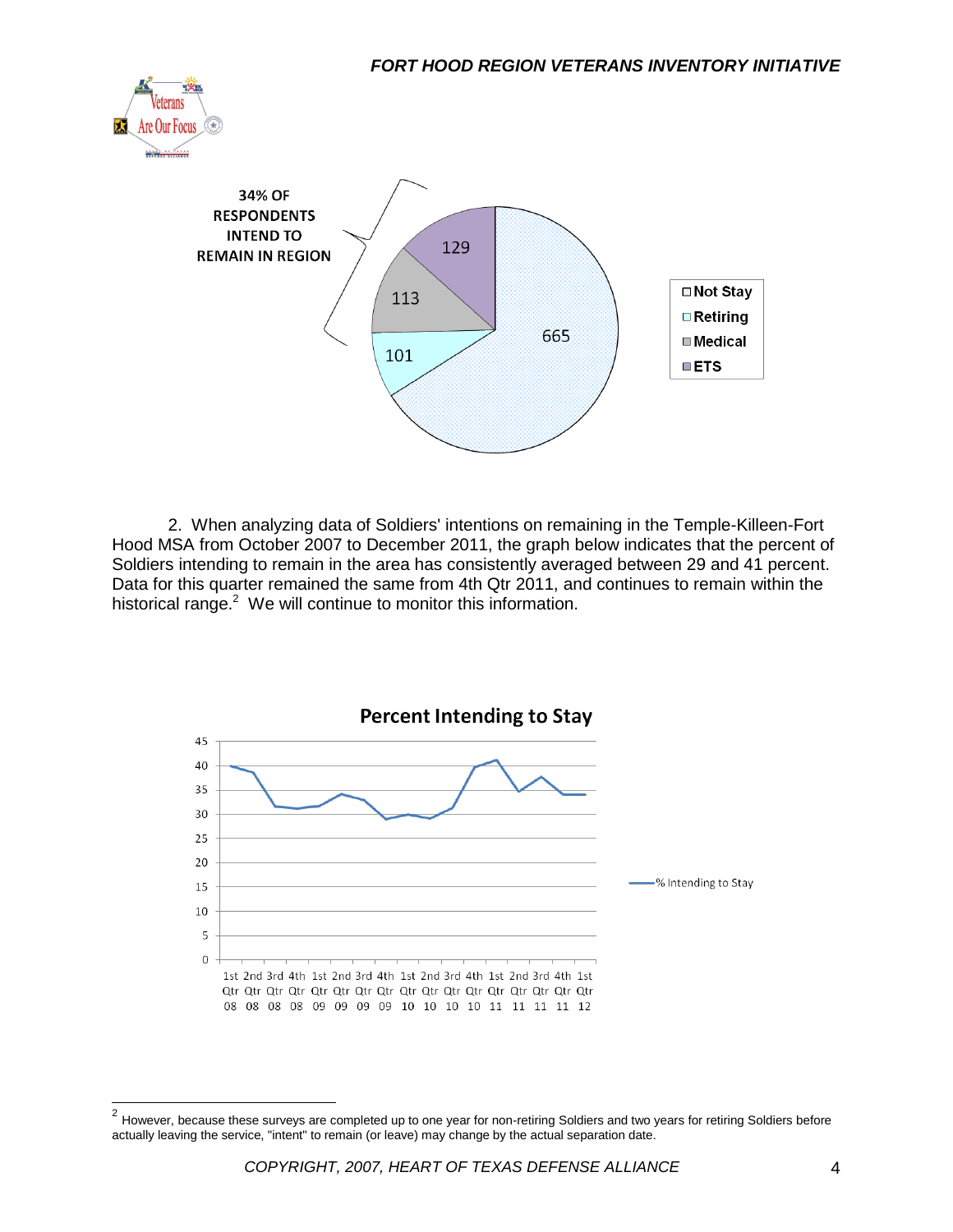



2. When analyzing data of Soldiers' intentions on remaining in the Temple-Killeen-Fort Hood MSA from October 2007 to December 2011, the graph below indicates that the percent of Soldiers intending to remain in the area has consistently averaged between 29 and 41 percent. Data for this quarter remained the same from 4th Qtr 2011, and continues to remain within the historical range.<sup>2</sup> We will continue to monitor this information.



 2 However, because these surveys are completed up to one year for non-retiring Soldiers and two years for retiring Soldiers before actually leaving the service, "intent" to remain (or leave) may change by the actual separation date.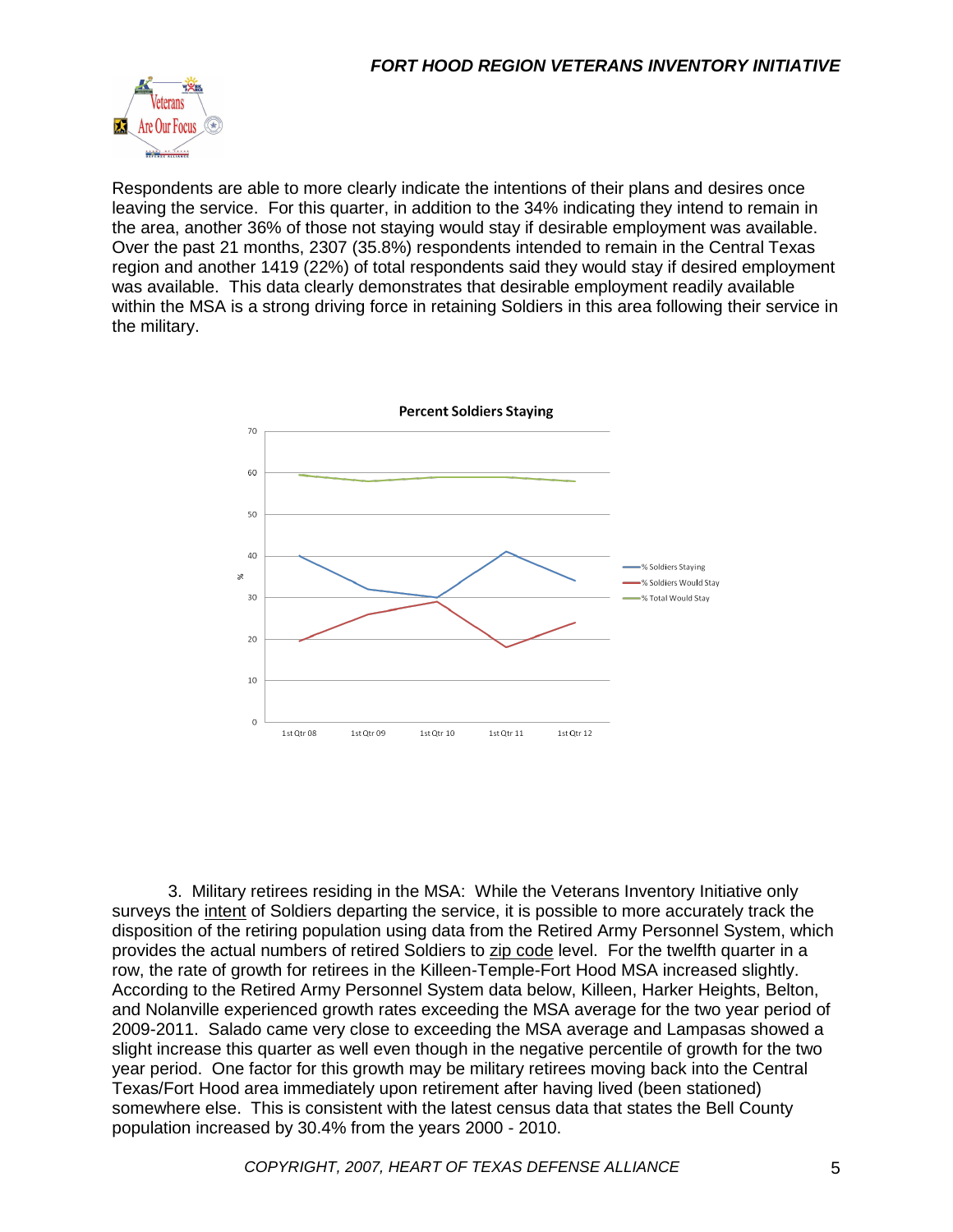

Respondents are able to more clearly indicate the intentions of their plans and desires once leaving the service. For this quarter, in addition to the 34% indicating they intend to remain in the area, another 36% of those not staying would stay if desirable employment was available. Over the past 21 months, 2307 (35.8%) respondents intended to remain in the Central Texas region and another 1419 (22%) of total respondents said they would stay if desired employment was available. This data clearly demonstrates that desirable employment readily available within the MSA is a strong driving force in retaining Soldiers in this area following their service in the military.



3. Military retirees residing in the MSA: While the Veterans Inventory Initiative only surveys the intent of Soldiers departing the service, it is possible to more accurately track the disposition of the retiring population using data from the Retired Army Personnel System, which provides the actual numbers of retired Soldiers to zip code level. For the twelfth quarter in a row, the rate of growth for retirees in the Killeen-Temple-Fort Hood MSA increased slightly. According to the Retired Army Personnel System data below, Killeen, Harker Heights, Belton, and Nolanville experienced growth rates exceeding the MSA average for the two year period of 2009-2011. Salado came very close to exceeding the MSA average and Lampasas showed a slight increase this quarter as well even though in the negative percentile of growth for the two year period. One factor for this growth may be military retirees moving back into the Central Texas/Fort Hood area immediately upon retirement after having lived (been stationed) somewhere else. This is consistent with the latest census data that states the Bell County population increased by 30.4% from the years 2000 - 2010.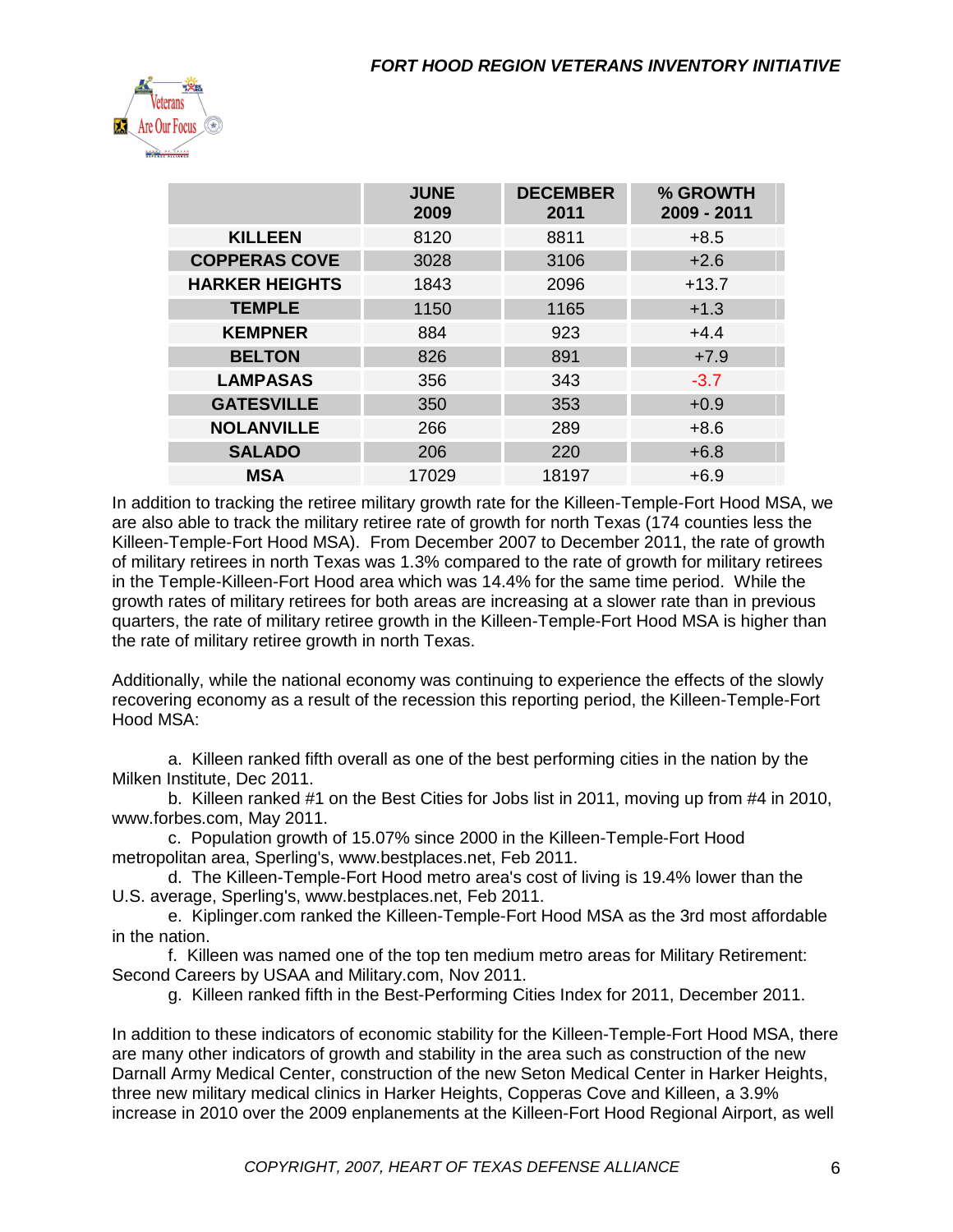

|                       | <b>JUNE</b><br>2009 | <b>DECEMBER</b><br>2011 | % GROWTH<br>2009 - 2011 |
|-----------------------|---------------------|-------------------------|-------------------------|
| <b>KILLEEN</b>        | 8120                | 8811                    | $+8.5$                  |
| <b>COPPERAS COVE</b>  | 3028                | 3106                    | $+2.6$                  |
| <b>HARKER HEIGHTS</b> | 1843                | 2096                    | $+13.7$                 |
| <b>TEMPLE</b>         | 1150                | 1165                    | $+1.3$                  |
| <b>KEMPNER</b>        | 884                 | 923                     | $+4.4$                  |
| <b>BELTON</b>         | 826                 | 891                     | $+7.9$                  |
| <b>LAMPASAS</b>       | 356                 | 343                     | $-3.7$                  |
| <b>GATESVILLE</b>     | 350                 | 353                     | $+0.9$                  |
| <b>NOLANVILLE</b>     | 266                 | 289                     | $+8.6$                  |
| <b>SALADO</b>         | 206                 | 220                     | $+6.8$                  |
| <b>MSA</b>            | 17029               | 18197                   | $+6.9$                  |

In addition to tracking the retiree military growth rate for the Killeen-Temple-Fort Hood MSA, we are also able to track the military retiree rate of growth for north Texas (174 counties less the Killeen-Temple-Fort Hood MSA). From December 2007 to December 2011, the rate of growth of military retirees in north Texas was 1.3% compared to the rate of growth for military retirees in the Temple-Killeen-Fort Hood area which was 14.4% for the same time period. While the growth rates of military retirees for both areas are increasing at a slower rate than in previous quarters, the rate of military retiree growth in the Killeen-Temple-Fort Hood MSA is higher than the rate of military retiree growth in north Texas.

Additionally, while the national economy was continuing to experience the effects of the slowly recovering economy as a result of the recession this reporting period, the Killeen-Temple-Fort Hood MSA:

a. Killeen ranked fifth overall as one of the best performing cities in the nation by the Milken Institute, Dec 2011.

b. Killeen ranked #1 on the Best Cities for Jobs list in 2011, moving up from #4 in 2010, www.forbes.com, May 2011.

c. Population growth of 15.07% since 2000 in the Killeen-Temple-Fort Hood metropolitan area, Sperling's, www.bestplaces.net, Feb 2011.

d. The Killeen-Temple-Fort Hood metro area's cost of living is 19.4% lower than the U.S. average, Sperling's, www.bestplaces.net, Feb 2011.

e. Kiplinger.com ranked the Killeen-Temple-Fort Hood MSA as the 3rd most affordable in the nation.

f. Killeen was named one of the top ten medium metro areas for Military Retirement: Second Careers by USAA and Military.com, Nov 2011.

g. Killeen ranked fifth in the Best-Performing Cities Index for 2011, December 2011.

In addition to these indicators of economic stability for the Killeen-Temple-Fort Hood MSA, there are many other indicators of growth and stability in the area such as construction of the new Darnall Army Medical Center, construction of the new Seton Medical Center in Harker Heights, three new military medical clinics in Harker Heights, Copperas Cove and Killeen, a 3.9% increase in 2010 over the 2009 enplanements at the Killeen-Fort Hood Regional Airport, as well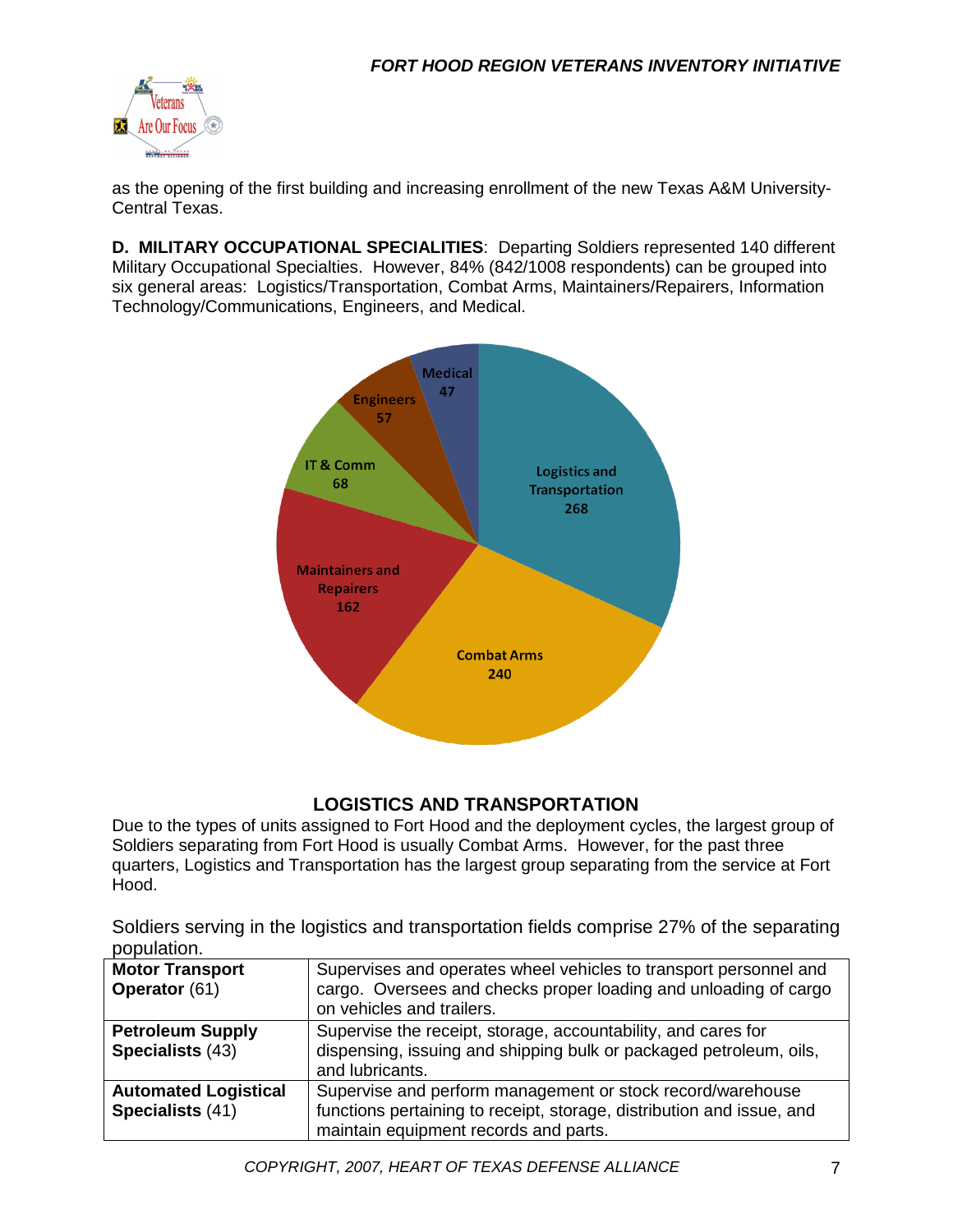

as the opening of the first building and increasing enrollment of the new Texas A&M University-Central Texas.

**D. MILITARY OCCUPATIONAL SPECIALITIES**: Departing Soldiers represented 140 different Military Occupational Specialties. However, 84% (842/1008 respondents) can be grouped into six general areas: Logistics/Transportation, Combat Arms, Maintainers/Repairers, Information Technology/Communications, Engineers, and Medical.



#### **LOGISTICS AND TRANSPORTATION**

Due to the types of units assigned to Fort Hood and the deployment cycles, the largest group of Soldiers separating from Fort Hood is usually Combat Arms. However, for the past three quarters, Logistics and Transportation has the largest group separating from the service at Fort Hood.

Soldiers serving in the logistics and transportation fields comprise 27% of the separating population.

| <b>Motor Transport</b><br>Operator (61)         | Supervises and operates wheel vehicles to transport personnel and<br>cargo. Oversees and checks proper loading and unloading of cargo<br>on vehicles and trailers.           |
|-------------------------------------------------|------------------------------------------------------------------------------------------------------------------------------------------------------------------------------|
| <b>Petroleum Supply</b><br>Specialists (43)     | Supervise the receipt, storage, accountability, and cares for<br>dispensing, issuing and shipping bulk or packaged petroleum, oils,<br>and lubricants.                       |
| <b>Automated Logistical</b><br>Specialists (41) | Supervise and perform management or stock record/warehouse<br>functions pertaining to receipt, storage, distribution and issue, and<br>maintain equipment records and parts. |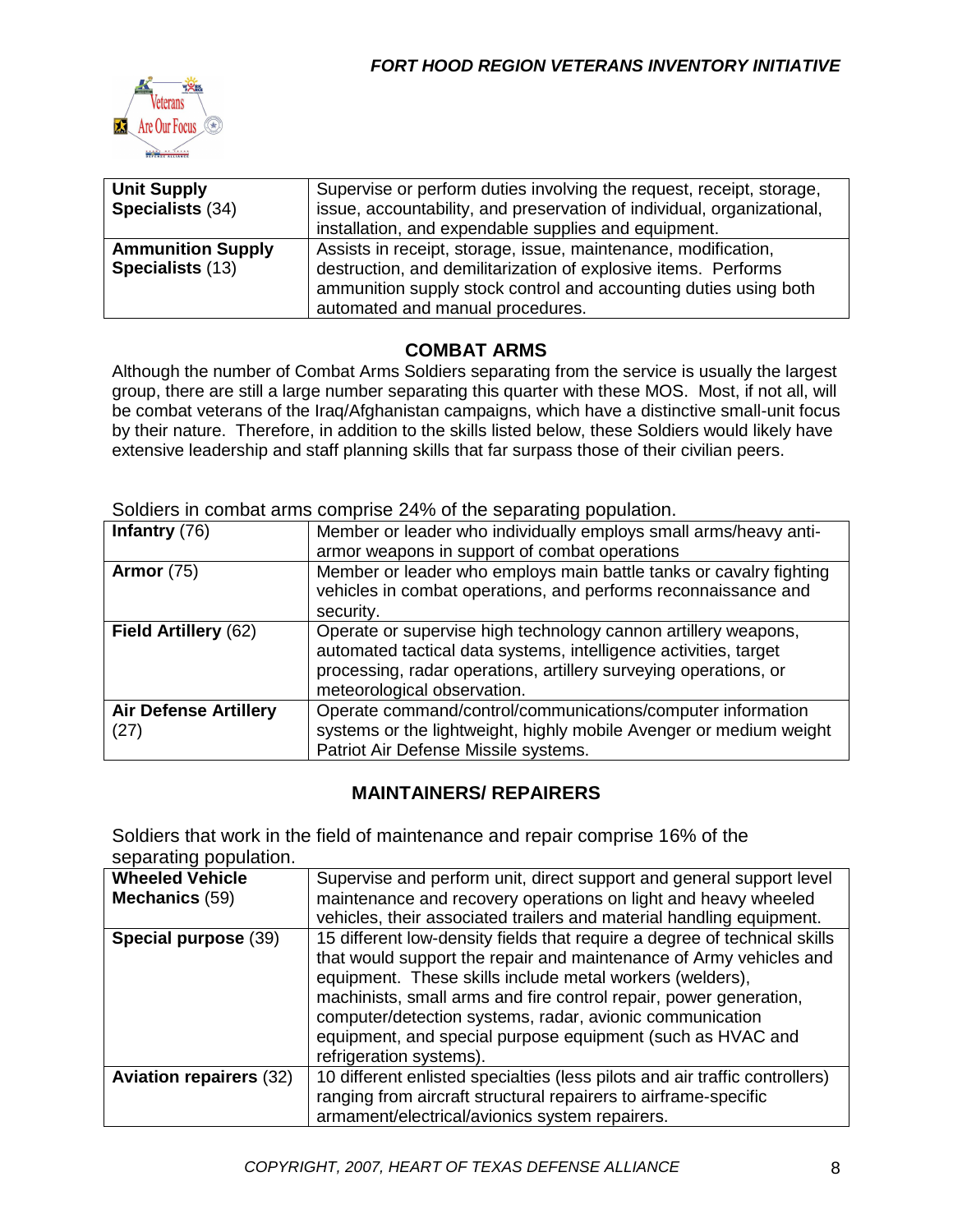

| <b>Unit Supply</b><br>Specialists (34)              | Supervise or perform duties involving the request, receipt, storage,<br>issue, accountability, and preservation of individual, organizational,<br>installation, and expendable supplies and equipment.                                   |
|-----------------------------------------------------|------------------------------------------------------------------------------------------------------------------------------------------------------------------------------------------------------------------------------------------|
| <b>Ammunition Supply</b><br><b>Specialists (13)</b> | Assists in receipt, storage, issue, maintenance, modification,<br>destruction, and demilitarization of explosive items. Performs<br>ammunition supply stock control and accounting duties using both<br>automated and manual procedures. |

#### **COMBAT ARMS**

Although the number of Combat Arms Soldiers separating from the service is usually the largest group, there are still a large number separating this quarter with these MOS. Most, if not all, will be combat veterans of the Iraq/Afghanistan campaigns, which have a distinctive small-unit focus by their nature. Therefore, in addition to the skills listed below, these Soldiers would likely have extensive leadership and staff planning skills that far surpass those of their civilian peers.

| Infantry $(76)$                      | Member or leader who individually employs small arms/heavy anti-                                                                                                                                                                      |
|--------------------------------------|---------------------------------------------------------------------------------------------------------------------------------------------------------------------------------------------------------------------------------------|
|                                      | armor weapons in support of combat operations                                                                                                                                                                                         |
| <b>Armor</b> (75)                    | Member or leader who employs main battle tanks or cavalry fighting<br>vehicles in combat operations, and performs reconnaissance and<br>security.                                                                                     |
| Field Artillery (62)                 | Operate or supervise high technology cannon artillery weapons,<br>automated tactical data systems, intelligence activities, target<br>processing, radar operations, artillery surveying operations, or<br>meteorological observation. |
| <b>Air Defense Artillery</b><br>(27) | Operate command/control/communications/computer information<br>systems or the lightweight, highly mobile Avenger or medium weight<br>Patriot Air Defense Missile systems.                                                             |

Soldiers in combat arms comprise 24% of the separating population.

#### **MAINTAINERS/ REPAIRERS**

Soldiers that work in the field of maintenance and repair comprise 16% of the separating population.

| <b>Wheeled Vehicle</b>         | Supervise and perform unit, direct support and general support level                                                                           |
|--------------------------------|------------------------------------------------------------------------------------------------------------------------------------------------|
| <b>Mechanics (59)</b>          | maintenance and recovery operations on light and heavy wheeled                                                                                 |
|                                | vehicles, their associated trailers and material handling equipment.                                                                           |
| Special purpose (39)           | 15 different low-density fields that require a degree of technical skills                                                                      |
|                                | that would support the repair and maintenance of Army vehicles and<br>equipment. These skills include metal workers (welders),                 |
|                                | machinists, small arms and fire control repair, power generation,                                                                              |
|                                | computer/detection systems, radar, avionic communication                                                                                       |
|                                | equipment, and special purpose equipment (such as HVAC and<br>refrigeration systems).                                                          |
| <b>Aviation repairers (32)</b> | 10 different enlisted specialties (less pilots and air traffic controllers)<br>ranging from aircraft structural repairers to airframe-specific |
|                                | armament/electrical/avionics system repairers.                                                                                                 |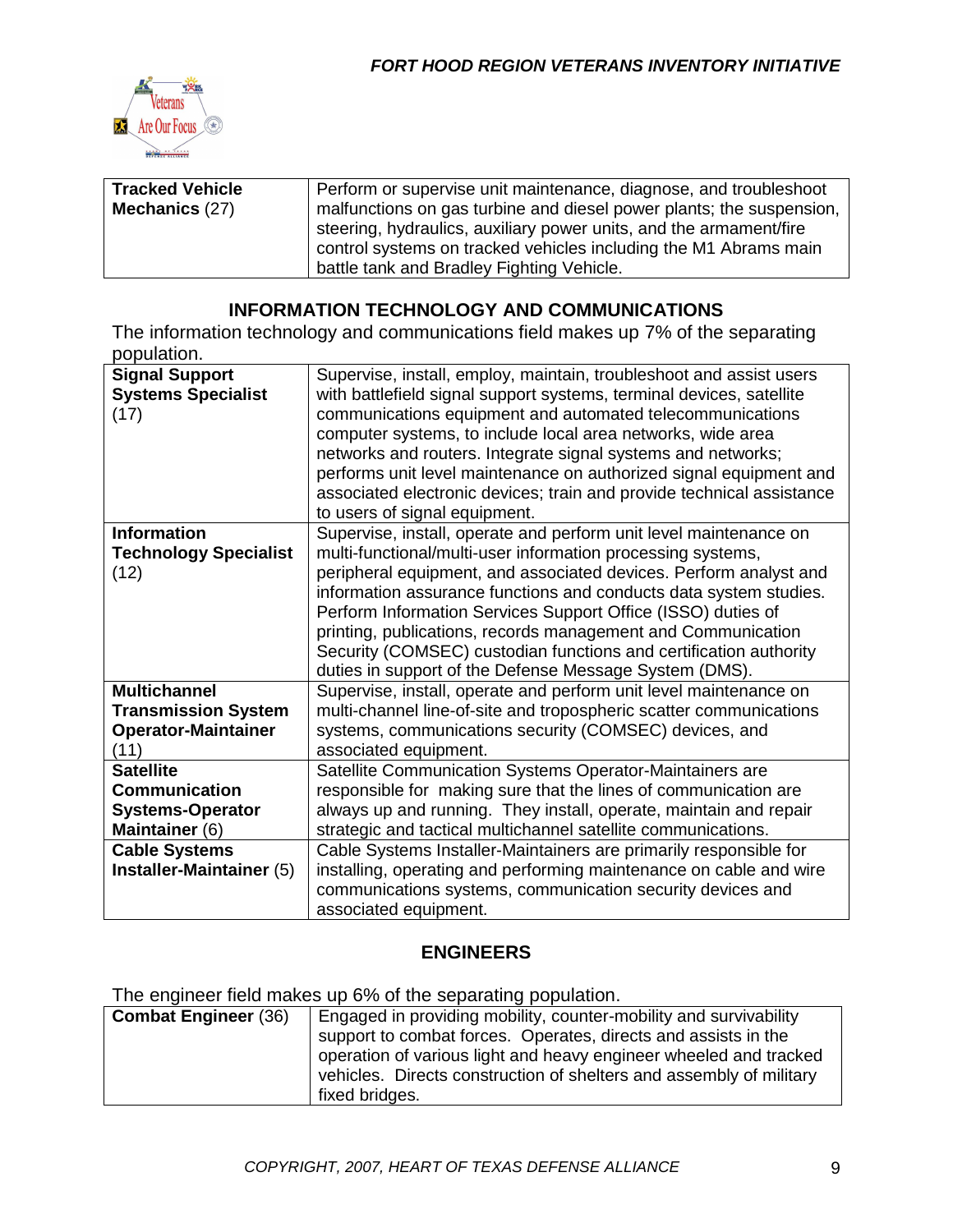

| <b>Tracked Vehicle</b><br>Mechanics (27) | Perform or supervise unit maintenance, diagnose, and troubleshoot<br>malfunctions on gas turbine and diesel power plants; the suspension,<br>steering, hydraulics, auxiliary power units, and the armament/fire<br>control systems on tracked vehicles including the M1 Abrams main |
|------------------------------------------|-------------------------------------------------------------------------------------------------------------------------------------------------------------------------------------------------------------------------------------------------------------------------------------|
|                                          | battle tank and Bradley Fighting Vehicle.                                                                                                                                                                                                                                           |

#### **INFORMATION TECHNOLOGY AND COMMUNICATIONS**

The information technology and communications field makes up 7% of the separating population.

| <b>Signal Support</b><br><b>Systems Specialist</b><br>(17)                              | Supervise, install, employ, maintain, troubleshoot and assist users<br>with battlefield signal support systems, terminal devices, satellite<br>communications equipment and automated telecommunications<br>computer systems, to include local area networks, wide area<br>networks and routers. Integrate signal systems and networks;<br>performs unit level maintenance on authorized signal equipment and<br>associated electronic devices; train and provide technical assistance<br>to users of signal equipment.                   |
|-----------------------------------------------------------------------------------------|-------------------------------------------------------------------------------------------------------------------------------------------------------------------------------------------------------------------------------------------------------------------------------------------------------------------------------------------------------------------------------------------------------------------------------------------------------------------------------------------------------------------------------------------|
| <b>Information</b><br><b>Technology Specialist</b><br>(12)                              | Supervise, install, operate and perform unit level maintenance on<br>multi-functional/multi-user information processing systems,<br>peripheral equipment, and associated devices. Perform analyst and<br>information assurance functions and conducts data system studies.<br>Perform Information Services Support Office (ISSO) duties of<br>printing, publications, records management and Communication<br>Security (COMSEC) custodian functions and certification authority<br>duties in support of the Defense Message System (DMS). |
| <b>Multichannel</b><br><b>Transmission System</b><br><b>Operator-Maintainer</b><br>(11) | Supervise, install, operate and perform unit level maintenance on<br>multi-channel line-of-site and tropospheric scatter communications<br>systems, communications security (COMSEC) devices, and<br>associated equipment.                                                                                                                                                                                                                                                                                                                |
| <b>Satellite</b>                                                                        | Satellite Communication Systems Operator-Maintainers are                                                                                                                                                                                                                                                                                                                                                                                                                                                                                  |
| <b>Communication</b>                                                                    | responsible for making sure that the lines of communication are                                                                                                                                                                                                                                                                                                                                                                                                                                                                           |
| <b>Systems-Operator</b>                                                                 | always up and running. They install, operate, maintain and repair                                                                                                                                                                                                                                                                                                                                                                                                                                                                         |
| Maintainer (6)                                                                          | strategic and tactical multichannel satellite communications.                                                                                                                                                                                                                                                                                                                                                                                                                                                                             |
| <b>Cable Systems</b>                                                                    | Cable Systems Installer-Maintainers are primarily responsible for                                                                                                                                                                                                                                                                                                                                                                                                                                                                         |
| Installer-Maintainer (5)                                                                | installing, operating and performing maintenance on cable and wire                                                                                                                                                                                                                                                                                                                                                                                                                                                                        |
|                                                                                         | communications systems, communication security devices and<br>associated equipment.                                                                                                                                                                                                                                                                                                                                                                                                                                                       |

#### **ENGINEERS**

The engineer field makes up 6% of the separating population.

| <b>Combat Engineer (36)</b> | Engaged in providing mobility, counter-mobility and survivability<br>support to combat forces. Operates, directs and assists in the      |
|-----------------------------|------------------------------------------------------------------------------------------------------------------------------------------|
|                             | operation of various light and heavy engineer wheeled and tracked<br>vehicles. Directs construction of shelters and assembly of military |
|                             | fixed bridges.                                                                                                                           |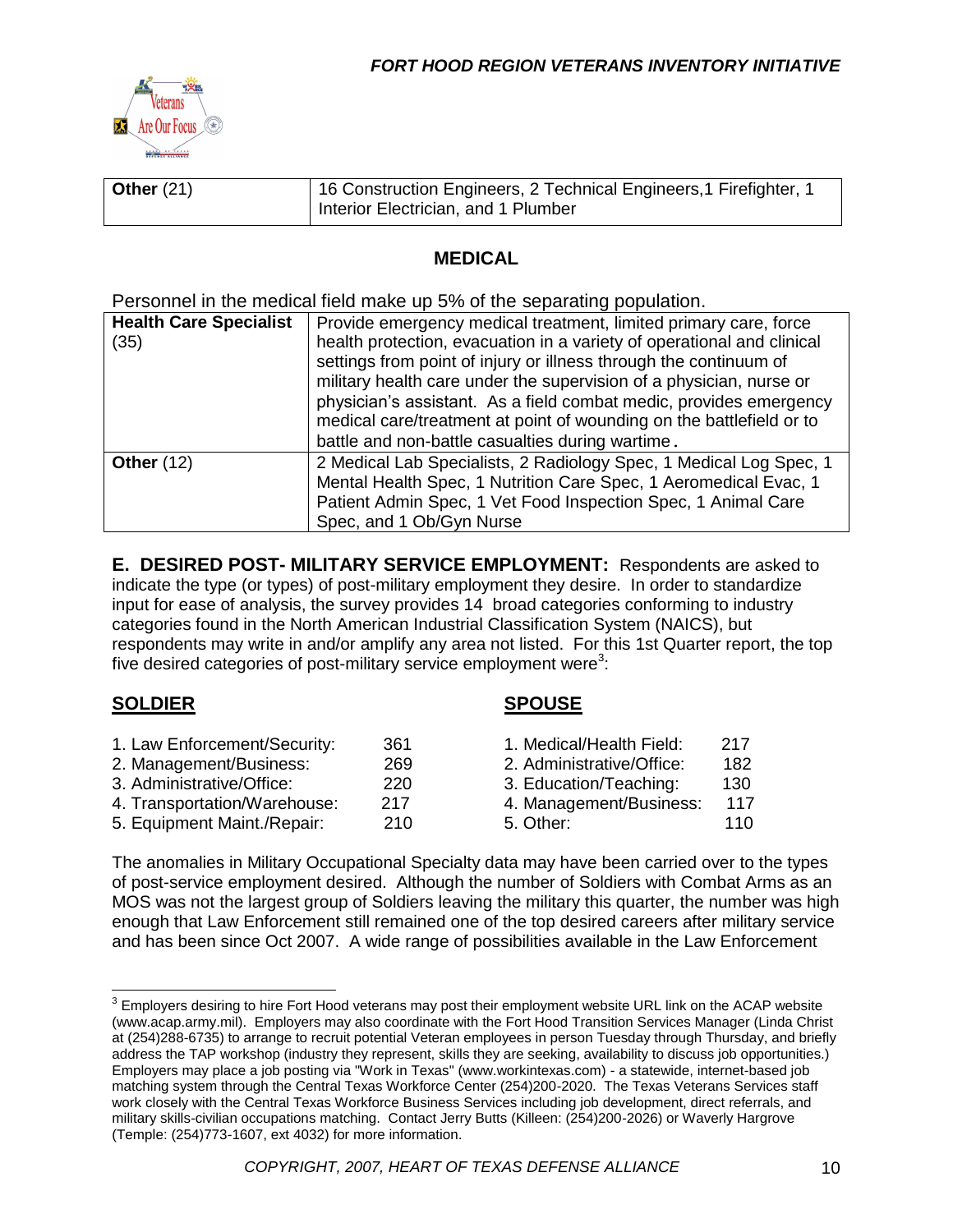

| Other $(21)$ | 16 Construction Engineers, 2 Technical Engineers, 1 Firefighter, 1 |
|--------------|--------------------------------------------------------------------|
|              | Interior Electrician, and 1 Plumber                                |

#### **MEDICAL**

Personnel in the medical field make up 5% of the separating population.

| <b>Health Care Specialist</b><br>(35) | Provide emergency medical treatment, limited primary care, force<br>health protection, evacuation in a variety of operational and clinical<br>settings from point of injury or illness through the continuum of<br>military health care under the supervision of a physician, nurse or<br>physician's assistant. As a field combat medic, provides emergency<br>medical care/treatment at point of wounding on the battlefield or to |
|---------------------------------------|--------------------------------------------------------------------------------------------------------------------------------------------------------------------------------------------------------------------------------------------------------------------------------------------------------------------------------------------------------------------------------------------------------------------------------------|
| Other $(12)$                          | battle and non-battle casualties during wartime.<br>2 Medical Lab Specialists, 2 Radiology Spec, 1 Medical Log Spec, 1<br>Mental Health Spec, 1 Nutrition Care Spec, 1 Aeromedical Evac, 1<br>Patient Admin Spec, 1 Vet Food Inspection Spec, 1 Animal Care<br>Spec, and 1 Ob/Gyn Nurse                                                                                                                                              |

**E. DESIRED POST- MILITARY SERVICE EMPLOYMENT:** Respondents are asked to indicate the type (or types) of post-military employment they desire. In order to standardize input for ease of analysis, the survey provides 14 broad categories conforming to industry categories found in the North American Industrial Classification System (NAICS), but respondents may write in and/or amplify any area not listed. For this 1st Quarter report, the top five desired categories of post-military service employment were<sup>3</sup>:

#### **SOLDIER SPOUSE**

| 1. Law Enforcement/Security: | 361 | 1. Medical/Health Field:  | 217 |
|------------------------------|-----|---------------------------|-----|
| 2. Management/Business:      | 269 | 2. Administrative/Office: | 182 |
| 3. Administrative/Office:    | 220 | 3. Education/Teaching:    | 130 |
| 4. Transportation/Warehouse: | 217 | 4. Management/Business:   | 117 |
| 5. Equipment Maint./Repair:  | 210 | 5. Other:                 | 110 |

The anomalies in Military Occupational Specialty data may have been carried over to the types of post-service employment desired. Although the number of Soldiers with Combat Arms as an MOS was not the largest group of Soldiers leaving the military this quarter, the number was high enough that Law Enforcement still remained one of the top desired careers after military service and has been since Oct 2007. A wide range of possibilities available in the Law Enforcement

 3 Employers desiring to hire Fort Hood veterans may post their employment website URL link on the ACAP website (www.acap.army.mil). Employers may also coordinate with the Fort Hood Transition Services Manager (Linda Christ at (254)288-6735) to arrange to recruit potential Veteran employees in person Tuesday through Thursday, and briefly address the TAP workshop (industry they represent, skills they are seeking, availability to discuss job opportunities.) Employers may place a job posting via "Work in Texas" (www.workintexas.com) - a statewide, internet-based job matching system through the Central Texas Workforce Center (254)200-2020. The Texas Veterans Services staff work closely with the Central Texas Workforce Business Services including job development, direct referrals, and military skills-civilian occupations matching. Contact Jerry Butts (Killeen: (254)200-2026) or Waverly Hargrove (Temple: (254)773-1607, ext 4032) for more information.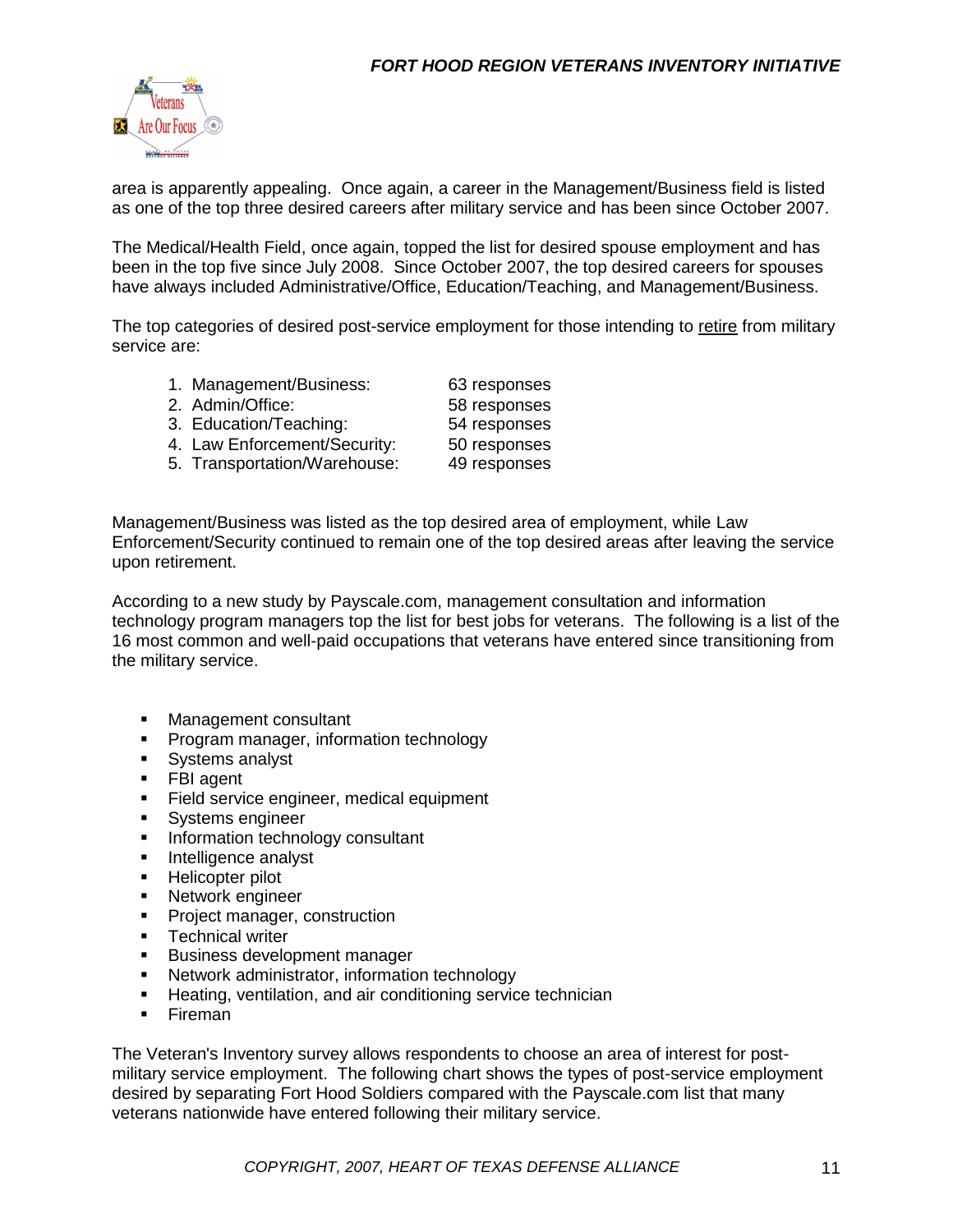

area is apparently appealing. Once again, a career in the Management/Business field is listed as one of the top three desired careers after military service and has been since October 2007.

The Medical/Health Field, once again, topped the list for desired spouse employment and has been in the top five since July 2008. Since October 2007, the top desired careers for spouses have always included Administrative/Office, Education/Teaching, and Management/Business.

The top categories of desired post-service employment for those intending to retire from military service are:

| 1. Management/Business:      | 63 responses |
|------------------------------|--------------|
| 2. Admin/Office:             | 58 responses |
| 3. Education/Teaching:       | 54 responses |
| 4. Law Enforcement/Security: | 50 responses |
|                              |              |

5. Transportation/Warehouse: 49 responses

Management/Business was listed as the top desired area of employment, while Law Enforcement/Security continued to remain one of the top desired areas after leaving the service upon retirement.

According to a new study by Payscale.com, management consultation and information technology program managers top the list for best jobs for veterans. The following is a list of the 16 most common and well-paid occupations that veterans have entered since transitioning from the military service.

- **Management consultant**
- **Program manager, information technology**
- Systems analyst
- **FBI** agent
- **Field service engineer, medical equipment**
- **Systems engineer**
- **Information technology consultant**
- **Intelligence analyst**
- **Helicopter pilot**
- **Network engineer**
- **Project manager, construction**
- **Technical writer**
- **Business development manager**
- **Network administrator, information technology**
- **Heating, ventilation, and air conditioning service technician**
- **Fireman**

The Veteran's Inventory survey allows respondents to choose an area of interest for postmilitary service employment. The following chart shows the types of post-service employment desired by separating Fort Hood Soldiers compared with the Payscale.com list that many veterans nationwide have entered following their military service.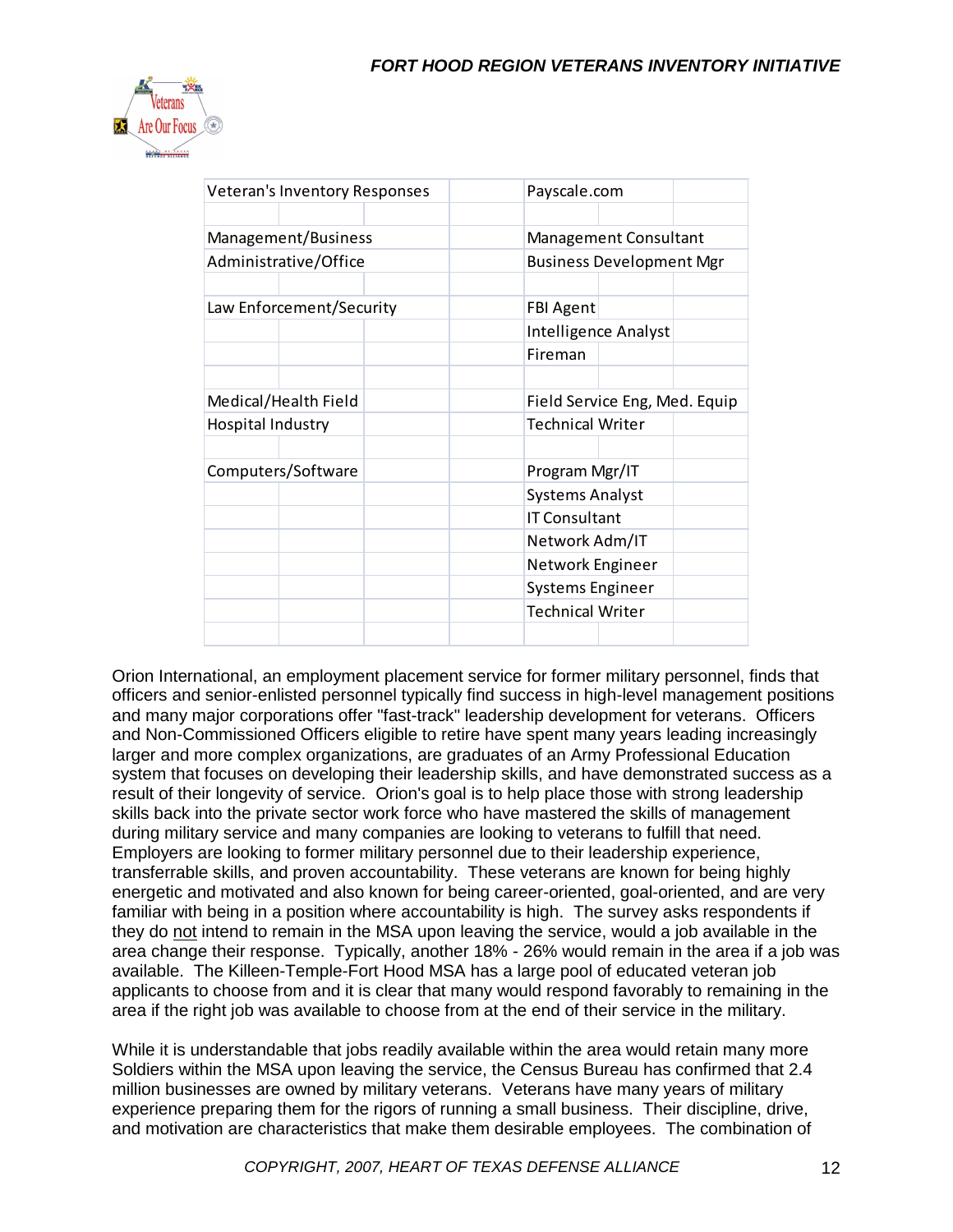

| <b>Veteran's Inventory Responses</b> |  |  | Payscale.com                    |                         |  |  |
|--------------------------------------|--|--|---------------------------------|-------------------------|--|--|
|                                      |  |  |                                 |                         |  |  |
| Management/Business                  |  |  | <b>Management Consultant</b>    |                         |  |  |
| Administrative/Office                |  |  | <b>Business Development Mgr</b> |                         |  |  |
|                                      |  |  |                                 |                         |  |  |
| Law Enforcement/Security             |  |  | <b>FBI Agent</b>                |                         |  |  |
|                                      |  |  |                                 | Intelligence Analyst    |  |  |
|                                      |  |  |                                 | Fireman                 |  |  |
|                                      |  |  |                                 |                         |  |  |
| Medical/Health Field                 |  |  | Field Service Eng, Med. Equip   |                         |  |  |
| Hospital Industry                    |  |  |                                 | <b>Technical Writer</b> |  |  |
|                                      |  |  |                                 |                         |  |  |
| Computers/Software                   |  |  | Program Mgr/IT                  |                         |  |  |
|                                      |  |  |                                 | <b>Systems Analyst</b>  |  |  |
|                                      |  |  | <b>IT Consultant</b>            |                         |  |  |
|                                      |  |  | Network Adm/IT                  |                         |  |  |
|                                      |  |  |                                 | Network Engineer        |  |  |
|                                      |  |  |                                 | <b>Systems Engineer</b> |  |  |
|                                      |  |  |                                 | <b>Technical Writer</b> |  |  |
|                                      |  |  |                                 |                         |  |  |

Orion International, an employment placement service for former military personnel, finds that officers and senior-enlisted personnel typically find success in high-level management positions and many major corporations offer "fast-track" leadership development for veterans. Officers and Non-Commissioned Officers eligible to retire have spent many years leading increasingly larger and more complex organizations, are graduates of an Army Professional Education system that focuses on developing their leadership skills, and have demonstrated success as a result of their longevity of service. Orion's goal is to help place those with strong leadership skills back into the private sector work force who have mastered the skills of management during military service and many companies are looking to veterans to fulfill that need. Employers are looking to former military personnel due to their leadership experience, transferrable skills, and proven accountability. These veterans are known for being highly energetic and motivated and also known for being career-oriented, goal-oriented, and are very familiar with being in a position where accountability is high. The survey asks respondents if they do not intend to remain in the MSA upon leaving the service, would a job available in the area change their response. Typically, another 18% - 26% would remain in the area if a job was available. The Killeen-Temple-Fort Hood MSA has a large pool of educated veteran job applicants to choose from and it is clear that many would respond favorably to remaining in the area if the right job was available to choose from at the end of their service in the military.

While it is understandable that jobs readily available within the area would retain many more Soldiers within the MSA upon leaving the service, the Census Bureau has confirmed that 2.4 million businesses are owned by military veterans. Veterans have many years of military experience preparing them for the rigors of running a small business. Their discipline, drive, and motivation are characteristics that make them desirable employees. The combination of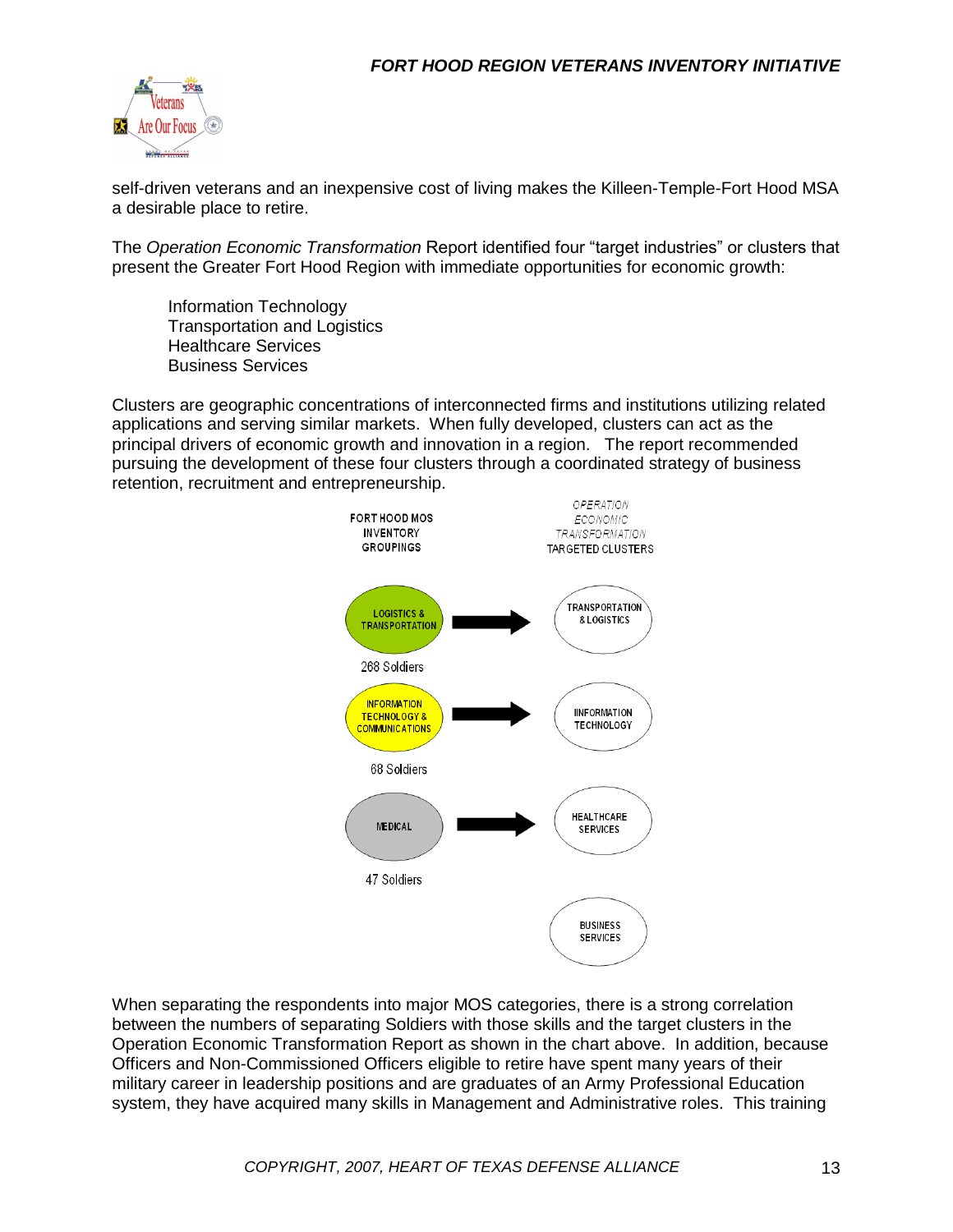

self-driven veterans and an inexpensive cost of living makes the Killeen-Temple-Fort Hood MSA a desirable place to retire.

The *Operation Economic Transformation* Report identified four "target industries" or clusters that present the Greater Fort Hood Region with immediate opportunities for economic growth:

Information Technology Transportation and Logistics Healthcare Services Business Services

Clusters are geographic concentrations of interconnected firms and institutions utilizing related applications and serving similar markets. When fully developed, clusters can act as the principal drivers of economic growth and innovation in a region. The report recommended pursuing the development of these four clusters through a coordinated strategy of business retention, recruitment and entrepreneurship.



When separating the respondents into major MOS categories, there is a strong correlation between the numbers of separating Soldiers with those skills and the target clusters in the Operation Economic Transformation Report as shown in the chart above. In addition, because Officers and Non-Commissioned Officers eligible to retire have spent many years of their military career in leadership positions and are graduates of an Army Professional Education system, they have acquired many skills in Management and Administrative roles. This training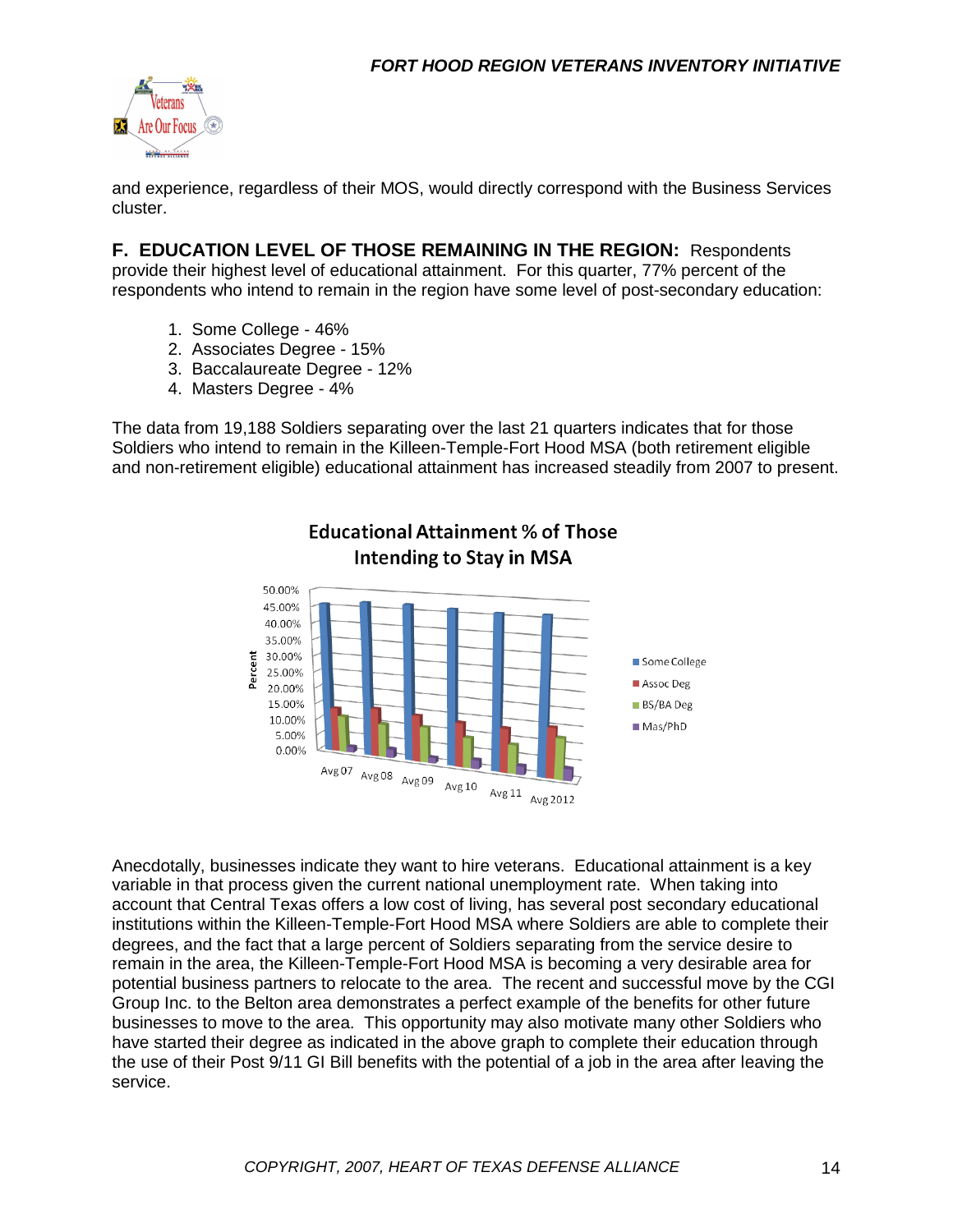

and experience, regardless of their MOS, would directly correspond with the Business Services cluster.

**F. EDUCATION LEVEL OF THOSE REMAINING IN THE REGION:** Respondents provide their highest level of educational attainment. For this quarter, 77% percent of the respondents who intend to remain in the region have some level of post-secondary education:

- 1. Some College 46%
- 2. Associates Degree 15%
- 3. Baccalaureate Degree 12%
- 4. Masters Degree 4%

The data from 19,188 Soldiers separating over the last 21 quarters indicates that for those Soldiers who intend to remain in the Killeen-Temple-Fort Hood MSA (both retirement eligible and non-retirement eligible) educational attainment has increased steadily from 2007 to present.

**Educational Attainment % of Those** 



Anecdotally, businesses indicate they want to hire veterans. Educational attainment is a key variable in that process given the current national unemployment rate. When taking into account that Central Texas offers a low cost of living, has several post secondary educational institutions within the Killeen-Temple-Fort Hood MSA where Soldiers are able to complete their degrees, and the fact that a large percent of Soldiers separating from the service desire to remain in the area, the Killeen-Temple-Fort Hood MSA is becoming a very desirable area for potential business partners to relocate to the area. The recent and successful move by the CGI Group Inc. to the Belton area demonstrates a perfect example of the benefits for other future businesses to move to the area. This opportunity may also motivate many other Soldiers who have started their degree as indicated in the above graph to complete their education through the use of their Post 9/11 GI Bill benefits with the potential of a job in the area after leaving the service.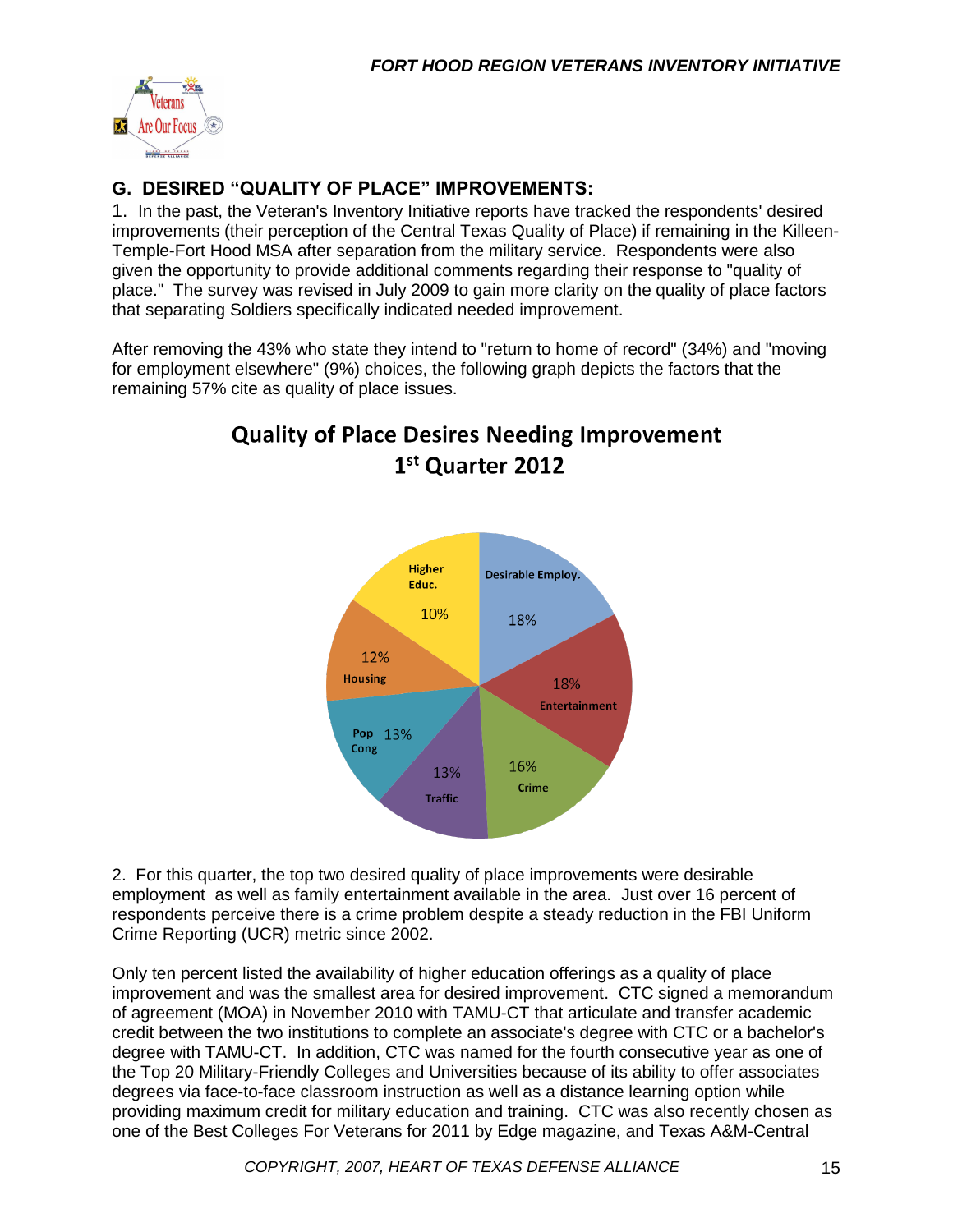

### **G. DESIRED "QUALITY OF PLACE" IMPROVEMENTS:**

1. In the past, the Veteran's Inventory Initiative reports have tracked the respondents' desired improvements (their perception of the Central Texas Quality of Place) if remaining in the Killeen-Temple-Fort Hood MSA after separation from the military service. Respondents were also given the opportunity to provide additional comments regarding their response to "quality of place." The survey was revised in July 2009 to gain more clarity on the quality of place factors that separating Soldiers specifically indicated needed improvement.

After removing the 43% who state they intend to "return to home of record" (34%) and "moving for employment elsewhere" (9%) choices, the following graph depicts the factors that the remaining 57% cite as quality of place issues.



## **Quality of Place Desires Needing Improvement** 1st Quarter 2012

2. For this quarter, the top two desired quality of place improvements were desirable employment as well as family entertainment available in the area. Just over 16 percent of respondents perceive there is a crime problem despite a steady reduction in the FBI Uniform Crime Reporting (UCR) metric since 2002.

Only ten percent listed the availability of higher education offerings as a quality of place improvement and was the smallest area for desired improvement. CTC signed a memorandum of agreement (MOA) in November 2010 with TAMU-CT that articulate and transfer academic credit between the two institutions to complete an associate's degree with CTC or a bachelor's degree with TAMU-CT. In addition, CTC was named for the fourth consecutive year as one of the Top 20 Military-Friendly Colleges and Universities because of its ability to offer associates degrees via face-to-face classroom instruction as well as a distance learning option while providing maximum credit for military education and training. CTC was also recently chosen as one of the Best Colleges For Veterans for 2011 by Edge magazine, and Texas A&M-Central